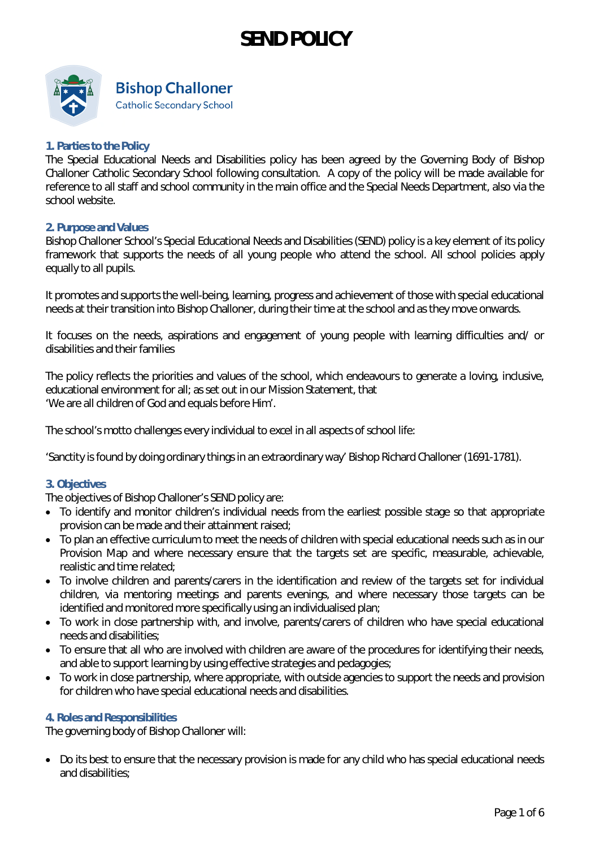

#### **1. Parties to the Policy**

The Special Educational Needs and Disabilities policy has been agreed by the Governing Body of Bishop Challoner Catholic Secondary School following consultation. A copy of the policy will be made available for reference to all staff and school community in the main office and the Special Needs Department, also via the school website.

#### **2. Purpose and Values**

Bishop Challoner School's Special Educational Needs and Disabilities (SEND) policy is a key element of its policy framework that supports the needs of all young people who attend the school. All school policies apply equally to all pupils.

It promotes and supports the well-being, learning, progress and achievement of those with special educational needs at their transition into Bishop Challoner, during their time at the school and as they move onwards.

It focuses on the needs, aspirations and engagement of young people with learning difficulties and/ or disabilities and their families

The policy reflects the priorities and values of the school, which endeavours to generate a loving, inclusive, educational environment for all; as set out in our Mission Statement, that 'We are all children of God and equals before Him'.

The school's motto challenges every individual to excel in all aspects of school life:

'Sanctity is found by doing ordinary things in an extraordinary way' Bishop Richard Challoner (1691-1781).

#### **3. Objectives**

The objectives of Bishop Challoner's SEND policy are:

- To identify and monitor children's individual needs from the earliest possible stage so that appropriate provision can be made and their attainment raised;
- To plan an effective curriculum to meet the needs of children with special educational needs such as in our Provision Map and where necessary ensure that the targets set are specific, measurable, achievable, realistic and time related;
- To involve children and parents/carers in the identification and review of the targets set for individual children, via mentoring meetings and parents evenings, and where necessary those targets can be identified and monitored more specifically using an individualised plan;
- To work in close partnership with, and involve, parents/carers of children who have special educational needs and disabilities;
- To ensure that all who are involved with children are aware of the procedures for identifying their needs, and able to support learning by using effective strategies and pedagogies;
- To work in close partnership, where appropriate, with outside agencies to support the needs and provision for children who have special educational needs and disabilities.

#### **4. Roles and Responsibilities**

The governing body of Bishop Challoner will:

• Do its best to ensure that the necessary provision is made for any child who has special educational needs and disabilities;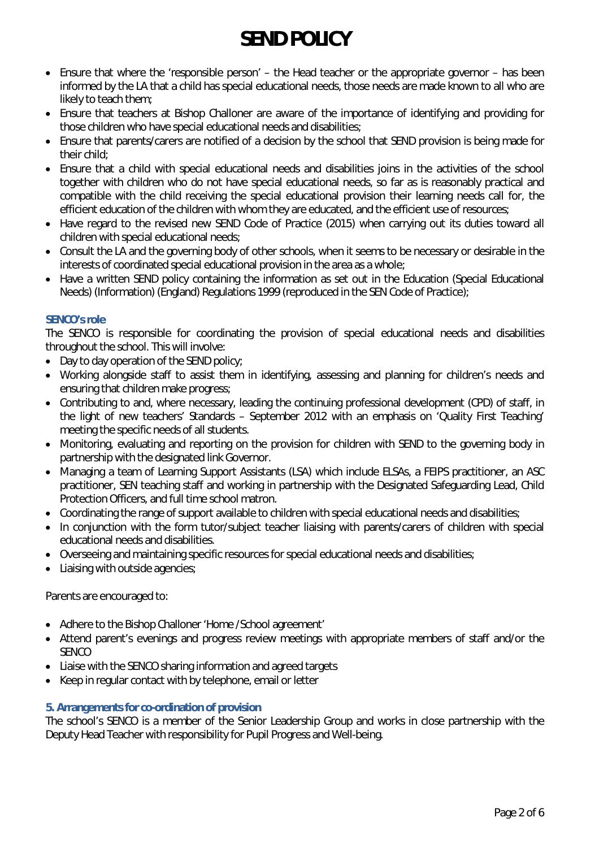- Ensure that where the 'responsible person' the Head teacher or the appropriate governor has been informed by the LA that a child has special educational needs, those needs are made known to all who are likely to teach them;
- Ensure that teachers at Bishop Challoner are aware of the importance of identifying and providing for those children who have special educational needs and disabilities;
- Ensure that parents/carers are notified of a decision by the school that SEND provision is being made for their child;
- Ensure that a child with special educational needs and disabilities joins in the activities of the school together with children who do not have special educational needs, so far as is reasonably practical and compatible with the child receiving the special educational provision their learning needs call for, the efficient education of the children with whom they are educated, and the efficient use of resources;
- Have regard to the revised new SEND Code of Practice (2015) when carrying out its duties toward all children with special educational needs;
- Consult the LA and the governing body of other schools, when it seems to be necessary or desirable in the interests of coordinated special educational provision in the area as a whole;
- Have a written SEND policy containing the information as set out in the Education (Special Educational Needs) (Information) (England) Regulations 1999 (reproduced in the SEN Code of Practice);

## **SENCO's role**

The SENCO is responsible for coordinating the provision of special educational needs and disabilities throughout the school. This will involve:

- Day to day operation of the SEND policy;
- Working alongside staff to assist them in identifying, assessing and planning for children's needs and ensuring that children make progress;
- Contributing to and, where necessary, leading the continuing professional development (CPD) of staff, in the light of new teachers' Standards – September 2012 with an emphasis on 'Quality First Teaching' meeting the specific needs of all students.
- Monitoring, evaluating and reporting on the provision for children with SEND to the governing body in partnership with the designated link Governor.
- Managing a team of Learning Support Assistants (LSA) which include ELSAs, a FEIPS practitioner, an ASC practitioner, SEN teaching staff and working in partnership with the Designated Safeguarding Lead, Child Protection Officers, and full time school matron.
- Coordinating the range of support available to children with special educational needs and disabilities;
- In conjunction with the form tutor/subject teacher liaising with parents/carers of children with special educational needs and disabilities.
- Overseeing and maintaining specific resources for special educational needs and disabilities;
- Liaising with outside agencies;

Parents are encouraged to:

- Adhere to the Bishop Challoner 'Home /School agreement'
- Attend parent's evenings and progress review meetings with appropriate members of staff and/or the **SENCO**
- Liaise with the SENCO sharing information and agreed targets
- Keep in regular contact with by telephone, email or letter

#### **5. Arrangements for co-ordination of provision**

The school's SENCO is a member of the Senior Leadership Group and works in close partnership with the Deputy Head Teacher with responsibility for Pupil Progress and Well-being.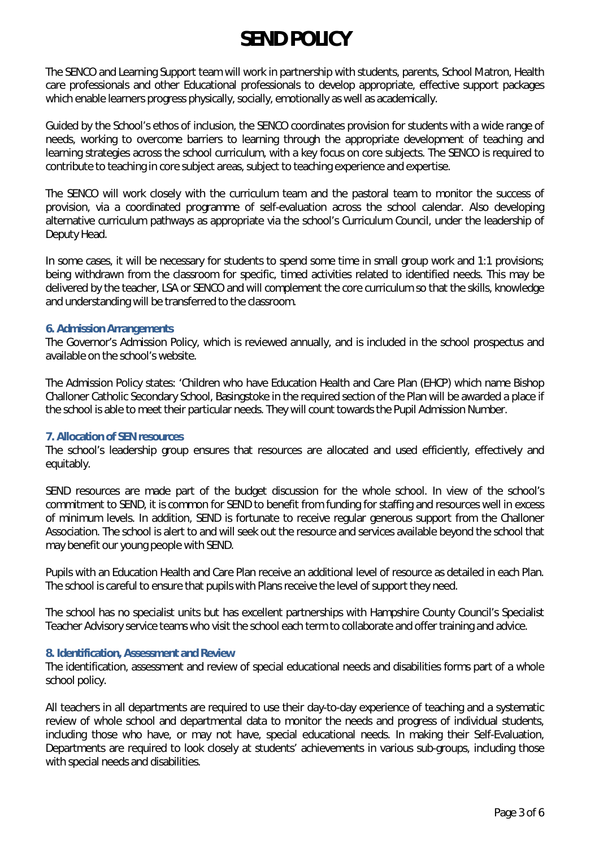The SENCO and Learning Support team will work in partnership with students, parents, School Matron, Health care professionals and other Educational professionals to develop appropriate, effective support packages which enable learners progress physically, socially, emotionally as well as academically.

Guided by the School's ethos of inclusion, the SENCO coordinates provision for students with a wide range of needs, working to overcome barriers to learning through the appropriate development of teaching and learning strategies across the school curriculum, with a key focus on core subjects. The SENCO is required to contribute to teaching in core subject areas, subject to teaching experience and expertise.

The SENCO will work closely with the curriculum team and the pastoral team to monitor the success of provision, via a coordinated programme of self-evaluation across the school calendar. Also developing alternative curriculum pathways as appropriate via the school's Curriculum Council, under the leadership of Deputy Head.

In some cases, it will be necessary for students to spend some time in small group work and 1:1 provisions; being withdrawn from the classroom for specific, timed activities related to identified needs. This may be delivered by the teacher, LSA or SENCO and will complement the core curriculum so that the skills, knowledge and understanding will be transferred to the classroom.

#### **6. Admission Arrangements**

The Governor's Admission Policy, which is reviewed annually, and is included in the school prospectus and available on the school's website.

The Admission Policy states: 'Children who have Education Health and Care Plan (EHCP) which name Bishop Challoner Catholic Secondary School, Basingstoke in the required section of the Plan will be awarded a place if the school is able to meet their particular needs. They will count towards the Pupil Admission Number.

## **7. Allocation of SEN resources**

The school's leadership group ensures that resources are allocated and used efficiently, effectively and equitably.

SEND resources are made part of the budget discussion for the whole school. In view of the school's commitment to SEND, it is common for SEND to benefit from funding for staffing and resources well in excess of minimum levels. In addition, SEND is fortunate to receive regular generous support from the Challoner Association. The school is alert to and will seek out the resource and services available beyond the school that may benefit our young people with SEND.

Pupils with an Education Health and Care Plan receive an additional level of resource as detailed in each Plan. The school is careful to ensure that pupils with Plans receive the level of support they need.

The school has no specialist units but has excellent partnerships with Hampshire County Council's Specialist Teacher Advisory service teams who visit the school each term to collaborate and offer training and advice.

#### **8. Identification, Assessment and Review**

The identification, assessment and review of special educational needs and disabilities forms part of a whole school policy.

All teachers in all departments are required to use their day-to-day experience of teaching and a systematic review of whole school and departmental data to monitor the needs and progress of individual students, including those who have, or may not have, special educational needs. In making their Self-Evaluation, Departments are required to look closely at students' achievements in various sub-groups, including those with special needs and disabilities.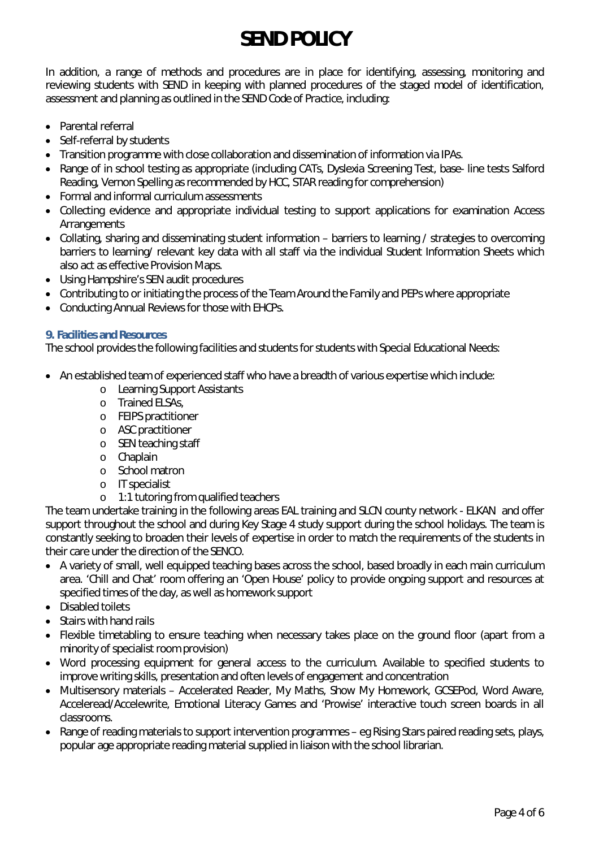In addition, a range of methods and procedures are in place for identifying, assessing, monitoring and reviewing students with SEND in keeping with planned procedures of the staged model of identification, assessment and planning as outlined in the *S EN D CodeofP ractice*, including:

- Parental referral
- Self-referral by students
- Transition programme with close collaboration and dissemination of information via IPAs.
- Range of in school testing as appropriate (including CATs, Dyslexia Screening Test, base- line tests Salford Reading, Vernon Spelling as recommended by HCC, STAR reading for comprehension)
- Formal and informal curriculum assessments
- Collecting evidence and appropriate individual testing to support applications for examination Access **Arrangements**
- Collating, sharing and disseminating student information barriers to learning / strategies to overcoming barriers to learning/ relevant key data with all staff via the individual Student Information Sheets which also act as effective Provision Maps.
- Using Hampshire's SEN audit procedures
- Contributing to or initiating the process of the *I eam Around the Fam ilyand PEPs where appropriate*
- Conducting Annual Reviews for those with EHCPs.

## **9. Facilities and Resources**

The school provides the following facilities and students for students with Special Educational Needs:

- An established team of experienced staff who have a breadth of various expertise which include:
	- o Learning Support Assistants
	- o Trained ELSAs,
	- o FEIPS practitioner
	- o ASC practitioner
	- o SEN teaching staff
	- o Chaplain
	- o School matron
	- o IT specialist
	- o 1:1 tutoring from qualified teachers

The team undertake training in the following areas EAL training and SLCN county network - ELKAN and offer support throughout the school and during Key Stage 4 study support during the school holidays. The team is constantly seeking to broaden their levels of expertise in order to match the requirements of the students in their care under the direction of the SENCO.

- A variety of small, well equipped teaching bases across the school, based broadly in each main curriculum area. 'Chill and Chat' room offering an 'Open House' policy to provide ongoing support and resources at specified times of the day, as well as homework support
- Disabled toilets
- Stairs with hand rails
- Flexible timetabling to ensure teaching when necessary takes place on the ground floor (apart from a minority of specialist room provision)
- Word processing equipment for general access to the curriculum. Available to specified students to improve writing skills, presentation and often levels of engagement and concentration
- Multisensory materials Accelerated Reader, My Maths, Show My Homework, GCSEPod, Word Aware, Acceleread/Accelewrite, Emotional Literacy Games and 'Prowise' interactive touch screen boards in all classrooms.
- Range of reading materials to support intervention programmes eg Rising Stars paired reading sets, plays, popular age appropriate reading material supplied in liaison with the school librarian.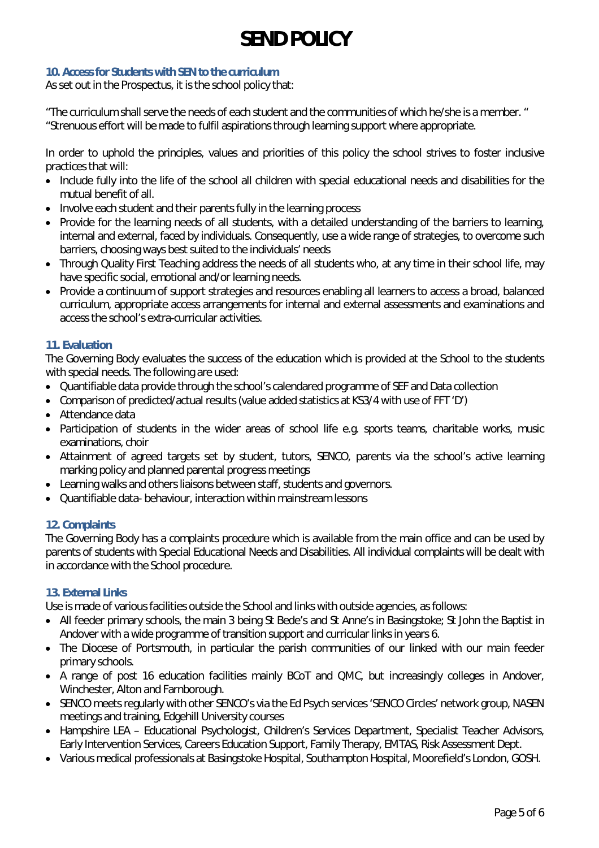## **10. Access for Students with SEN to the curriculum**

As set out in the Prospectus, it is the school policy that:

"The curriculum shall serve the needs of each student and the communities of which he/she is a member. " "Strenuous effort will be made to fulfil aspirations through learning support where appropriate.

In order to uphold the principles, values and priorities of this policy the school strives to foster inclusive practices that will:

- Include fully into the life of the school all children with special educational needs and disabilities for the mutual benefit of all.
- Involve each student and their parents fully in the learning process
- Provide for the learning needs of all students, with a detailed understanding of the barriers to learning, internal and external, faced by individuals. Consequently, use a wide range of strategies, to overcome such barriers, choosing ways best suited to the individuals' needs
- Through Quality First Teaching address the needs of all students who, at any time in their school life, may have specific social, emotional and/or learning needs.
- Provide a continuum of support strategies and resources enabling all learners to access a broad, balanced curriculum, appropriate access arrangements for internal and external assessments and examinations and access the school's extra-curricular activities.

#### **11. Evaluation**

The Governing Body evaluates the success of the education which is provided at the School to the students with special needs. The following are used:

- Quantifiable data provide through the school's calendared programme of SEF and Data collection
- Comparison of predicted/actual results (value added statistics at KS3/4 with use of FFT 'D')
- Attendance data
- Participation of students in the wider areas of school life e.g. sports teams, charitable works, music examinations, choir
- Attainment of agreed targets set by student, tutors, SENCO, parents via the school's active learning marking policy and planned parental progress meetings
- Learning walks and others liaisons between staff, students and governors.
- Quantifiable data- behaviour, interaction within mainstream lessons

## **12. Complaints**

The Governing Body has a complaints procedure which is available from the main office and can be used by parents of students with Special Educational Needs and Disabilities. All individual complaints will be dealt with in accordance with the School procedure.

## **13. External Links**

Use is made of various facilities outside the School and links with outside agencies, as follows:

- All feeder primary schools, the main 3 being St Bede's and St Anne's in Basingstoke; St John the Baptist in Andover with a wide programme of transition support and curricular links in years 6.
- The Diocese of Portsmouth, in particular the parish communities of our linked with our main feeder primary schools.
- A range of post 16 education facilities mainly BCoT and QMC, but increasingly colleges in Andover, Winchester, Alton and Farnborough.
- SENCO meets regularly with other SENCO's via the Ed Psych services 'SENCO Circles' network group, NASEN meetings and training, Edgehill University courses
- Hampshire LEA Educational Psychologist, Children's Services Department, Specialist Teacher Advisors, Early Intervention Services, Careers Education Support, Family Therapy, EMTAS, Risk Assessment Dept.
- Various medical professionals at Basingstoke Hospital, Southampton Hospital, Moorefield's London, GOSH.